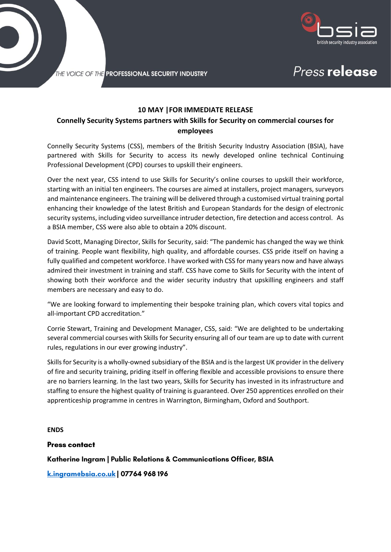

Press release

THE VOICE OF THE PROFESSIONAL SECURITY INDUSTRY

## **10 MAY |FOR IMMEDIATE RELEASE**

# **Connelly Security Systems partners with Skills for Security on commercial courses for employees**

Connelly Security Systems (CSS), members of the British Security Industry Association (BSIA), have partnered with Skills for Security to access its newly developed online technical Continuing Professional Development (CPD) courses to upskill their engineers.

Over the next year, CSS intend to use Skills for Security's online courses to upskill their workforce, starting with an initial ten engineers. The courses are aimed at installers, project managers, surveyors and maintenance engineers. The training will be delivered through a customised virtual training portal enhancing their knowledge of the latest British and European Standards for the design of electronic security systems, including video surveillance intruder detection, fire detection and access control. As a BSIA member, CSS were also able to obtain a 20% discount.

David Scott, Managing Director, Skills for Security, said: "The pandemic has changed the way we think of training. People want flexibility, high quality, and affordable courses. CSS pride itself on having a fully qualified and competent workforce. I have worked with CSS for many years now and have always admired their investment in training and staff. CSS have come to Skills for Security with the intent of showing both their workforce and the wider security industry that upskilling engineers and staff members are necessary and easy to do.

"We are looking forward to implementing their bespoke training plan, which covers vital topics and all-important CPD accreditation."

Corrie Stewart, Training and Development Manager, CSS, said: "We are delighted to be undertaking several commercial courses with Skills for Security ensuring all of our team are up to date with current rules, regulations in our ever growing industry".

Skills for Security is a wholly-owned subsidiary of the BSIA and is the largest UK provider in the delivery of fire and security training, priding itself in offering flexible and accessible provisions to ensure there are no barriers learning. In the last two years, Skills for Security has invested in its infrastructure and staffing to ensure the highest quality of training is guaranteed. Over 250 apprentices enrolled on their apprenticeship programme in centres in Warrington, Birmingham, Oxford and Southport.

**ENDS**

**Press contact** 

Katherine Ingram | Public Relations & Communications Officer, BSIA

k.ingram@bsia.co.uk | 07764 968 196